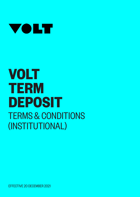

# **VOLT TERM DEPOSIT** TERMS & CONDITIONS (INSTITUTIONAL)

EFFECTIVE 20 DECEMBER 2021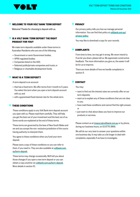

### **WELCOME TO YOUR VOLT BANK TERM DEPOSIT**

Welcome! Thanks for choosing to deposit with us.

# **▼ IS A VOLT BANK TERM DEPOSIT THE RIGHT PRODUCT FOR YOU?**

We make term deposits available under these terms to Australian Residents who are one of the following:

- Government or semi-Government bodies;
- APRA regulated bodies;
- Companies listed on the ASX;
- Selected public/private companies and trusts; or
- Religious or charitable development funds.

#### **▼ WHAT IS A TERM DEPOSIT?**

A term deposit is an account:

- that has a fixed term. We offer terms from 1 month to 5 years. You select the term when you open a term deposit account with us; and
- with a guaranteed fixed interest rate for the whole term.

#### **▼ THESE CONDITIONS**

These conditions apply to any Volt Bank term deposit account you open with us. Please read them carefully. They will help you get the best out of your investment and the best out of us. Some words are explained at the end of these terms.

These terms are governed by the laws of New South Wales and we and you accept the non- exclusive jurisdiction of the courts having authority to interpret them.

You agree to these conditions when you fund your term deposit.

Please save a copy of these conditions so you can refer to them, if you need to. They are also available at voltbank.com. au/term-deposit.

These terms may change occasionally. We'll tell you about those changes if you open a new term deposit or you can obtain a copy anytime via voltbank.com.au/term-deposit. More details in section 10.

#### **▼ PRIVACY**

Our privacy policy tells you how we manage personal information. You can find that policy at voltbank.com.au/ privacy-policy.

You may like to download a copy for your records.

#### **▼ COMPLAINTS**

From time to time, we may get it wrong. We never intend to. If we let you down, please tell us. We appreciate constructive feedback. The more information you give us, the easier it will be for us to improve.

There are more details of how we handle complaints in section 11.

#### **▼ CONTACT**

You may:

- want to find out the interest rates we currently offer on our term deposits;
- want us to explain any of these conditions that are not clear to you;
- have read these conditions and cannot find the right answer; or
- just want to chat about ideas you have to improve our products or services.

Please contact us at treasury@voltbank.com.au or by phone, during our business hours, on 02 8776 3866.

We will do our very best to answer your questions within one business day. It may take us a bit longer to deal with complaints, especially if we have to investigate.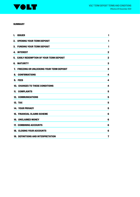

#### **SUMMARY**

| 1.  | <b>ISSUER</b>                                  | 1              |
|-----|------------------------------------------------|----------------|
| 2.  | <b>OPENING YOUR TERM DEPOSIT</b>               | 1              |
|     | 3. FUNDING YOUR TERM DEPOSIT                   | 1              |
|     | <b>4. INTEREST</b>                             | $\mathbf 2$    |
|     | 5. EARLY REDEMPTION OF YOUR TERM DEPOSIT       | $\mathbf 2$    |
| 6.  | MATURITY                                       | 3              |
| 7.  | <b>FREEZING OR UNLOCKING YOUR TERM DEPOSIT</b> | 3              |
| 8.  | <b>CONFIRMATIONS</b>                           | 4              |
| 9.  | <b>FEES</b>                                    | 4              |
|     | 10. CHANGES TO THESE CONDITIONS                | 4              |
| 11. | <b>COMPLAINTS</b>                              | 5              |
|     | <b>12. COMMUNICATIONS</b>                      | 5              |
|     | <b>13. TAX</b>                                 | 5              |
|     | <b>14. YOUR PRIVACY</b>                        | 5              |
|     | <b>15. FINANCIAL CLAIMS SCHEME</b>             | 6              |
|     | <b>16. UNCLAIMED MONEY</b>                     | 6              |
|     | 17. COMBINING ACCOUNTS                         | 6              |
|     | <b>18. CLOSING YOUR ACCOUNTS</b>               | 6              |
|     | 19. DEFINITIONS AND INTERPRETATION             | $\overline{7}$ |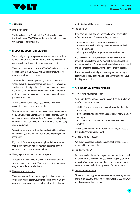

### **▼ 1. ISSUER**

### Who is Volt Bank?

Volt Bank Limited ACN 622 375 722 Australian Financial Services Licence 504782 issues the term deposit products to which these conditions apply.

# **▼ 2. OPENING YOUR TERM DEPOSIT**

We will tell you or your representative what needs to be done to open your term deposit when you or your representative engages with our Treasury team or any of our agents.

The minimum deposit amount is \$500,000 and the maximum deposit amount is \$5,000,000 or any lesser amount as we may agree to from time to time.

As part of the onboarding process you must nominate in writing the authorised signatories and users for the account. The levels of authority include Authorised User (can provide instructions for new term deposit accounts and instruct on maturing deposits), or Authorised Signatory (can authorise payment instructions).

You must notify us in writing, if you wish to amend your nominated users or levels of authority.

You authorise and direct us to act on any instructions given to us by an Authorised User or an Authorised Signatory and you are liable for any such instructions. We may reasonably delay acting on, or may ask you for further information before acting on, an instruction.

You authorise us to accept any instruction that has not been cancelled by you and notified to us prior to us acting on that instruction.

If you apply for a term deposit through a third party, rather than directly through Volt, we may pay that third party a commission or share revenue with them.

■ Changing the amount of your term deposit

You cannot change the term or your term deposit amount after you fund your term deposit. Your term deposit commences only from the date it is fully funded.

■ Choosing a maturity date

The maturity date for your term deposit will be the last day of the term you select for your term deposit. If the maturity date falls on a weekend or on a public holiday, then the final maturity date will be the next business day.

■ Identification

If we have not identified you previously, we will ask you for information as part of the onboarding process to:

- make sure you are the person you say you are;
- meet Anti-Money Laundering law requirements to check your identity; and
- check you are eligible to open a term deposit with us.

We check your identity using that information and other information available to us. We may ask third parties to help us make that check. Once we have identified you and you fund the amount of the deposit, we will open your term deposit.

Even if we have identified you previously, we may or may not require you to provide us with additional information on your identity and eligibility.

# **▼ 3. FUNDING YOUR TERM DEPOSIT**

■ How to fund your term deposit

Your term deposit commences on the day it is fully funded. You can fund your term deposit:

- via RTGS from an account you hold with another financial institution;
- by electronic funds transfer to an account we notify to you in writing; or
- if you are an Austraclear member, via the Austraclear system.

You must comply with the instructions we give you to settle the funding of your term deposit.

■ Deposits we don't accept

We do not accept deposits of cheques, bank cheques, cash, direct debit or money orders.

■ Funding by when?

We must receive the full funding amount for your term deposit on the same business day that you ask us to open your term deposit. We will open your term deposit only after we identify you and receive the full funding amount for that account.

■ Security requirements

To assist in keeping your term deposit secure, we may require some other security measures for some dealings you have with us. If we do we will advise you.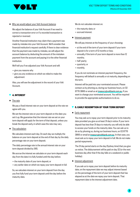

Why we would adjust your Volt Account balance

We adjust the balance of your Volt Account if we need to correct a transaction error or if a recorded transaction is rejected or reversed.

Another financial institution may claim that a payment was made by mistake into your Volt Account. We'll consider that financial institution's request carefully. If there is clear evidence that the payment was made by mistake, we will adjust the account balance by deducting the amount of the mistaken payment from the account and paying it to the other financial institution.

We'll tell you if we adjusted your Volt Account and will:

- give you reasons why
- give you any evidence on which we relied to make the adjustment

Also, you will see the adjustment in the record of your Volt Account.

# **▼ 4. INTEREST**

The rate

We pay a fixed interest rate on your term deposit at the rate we agree with you.

We set the interest rate on your term deposit on the date you set it up. We guarantee that the interest rate we set on your term deposit will apply for the term of that deposit, unless you break the deposit early, in which case the rate may vary.

The calculation

We calculate interest each day. On each day we multiply the balance on your term deposit at the end of that day by the daily percentage rate on your term deposit.

The daily percentage rate is the annual interest rate on your term deposit divided by 365.

We accrue the interest we calculate on your term deposit each day from the date it is fully funded until the day before:

- the maturity date of your term deposit; or
- any earlier date on which we repay your term deposit in full.

So, we calculate interest on your term deposit from the day you first fully fund your term deposit until the day before the maturity date.

We do not calculate interest on:

- the maturity date; or
- accrued interest.
- Interest payment

We will pay interest at the frequency of your choosing:

- at the end of the term of your term deposit if your term deposit is for a term of 12 months or less;
- annually, if the term of your term deposit is more than 12 months;
- half yearly;
- quarterly; or
- monthly.

If you do not nominate an interest payment frequency, the frequency will default to annually or at maturity, depending on the term.

Interest will be paid into your nominated account. Please contact us by phoning us, during our business hours, on 02 8776 3866 or email us at treasury@voltbank.com.au, if you want to change your nominated account. You will be required to provide the appropriate authorisations to do so.

# **▼ 5. EARLY REDEMPTION OF YOUR TERM DEPOSIT**

#### ■ Early repayment

You may ask us to repay your term deposit prior to its maturity date provided you give us at least 31 day's notice. If your term deposit has less than 31 days to maturity you will only be able to access your funds on the maturity date. You can ask us to do so by phoning us, during our business hours, on 02 8776 3866 or email at treasury@voltbank.com.au. In that case, you must ask us to repay your term deposit in full. We do not make partial repayments.

The 31 day period starts on the day (Sydney time) that you give us notice. The disbursement will be paid on day 32 (or the next business day after that if the day falls on a weekend or public holiday).

Interest adjustment

If you ask us to repay your term deposit before its maturity date, on the repayment date we may adjust interest based on the percentage of the term of your term deposit that has elapsed as at the date we repay your term deposit. That repayment date is the interest adjustment date.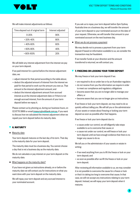

We will make interest adjustments as follows:

| Time elapsed out of original term | Interest adjusted |
|-----------------------------------|-------------------|
| $0 - 20%$                         | 90%               |
| $>20\% - 40\%$                    | 80%               |
| >40%-60%                          | 60%               |
| > 60%-80%                         | 40%               |
| $>80\% - 100\%$                   | 20%               |

We will debit any interest adjustment from the interest we pay on your term deposit.

If we paid interest for a period before the interest adjustment date, we:

- adjust interest for that period according to the table above;
- deduct the adjusted amount of interest from the interest we paid for that period to work out the amount you owe us. That amount is the interest adjustment amount; and
- deduct the interest adjustment amount from accrued interest as at the interest adjustment date or if there is not enough accrued interest, from the amount of your term deposit before we repay it.

Please contact us by phoning us, during our business hours, on 02 8776 3866 or email treasury@voltbank.com.au, if you want to discuss how we calculated the interest adjustment when we repaid your term deposit before its maturity date.

# **▼ 6. MATURITY**

Maturity date

Your term deposit matures on the last day of its term. That day is the maturity date for your term deposit.

The maturity date must be a business day. You cannot choose a day that is not a business day as the maturity date.

We do not calculate or pay interest on your term deposit on the maturity date.

What happens on the maturity date?

If you have not given us instructions already, on or before the maturity date we will contact you for instructions on what you want done with your term deposit on the maturity date.

We will repay your term deposit and any accrued interest to your nominated account.

If you ask us to repay your term deposit before 3pm Sydney Australia time on a business day, we will transfer the amount of your term deposit to your nominated account on the date of your request. Otherwise, we will transfer that amount to your nominated account on the next business day.

■ When we do not process a payment

We may decide not to process a payment from your term deposit if based on information available to us, we consider the transaction may be fraudulent.

If we transfer funds at your direction and the amount transferred is returned, we will contact you.

# **▼ 7. FREEZING OR LOCKING YOUR TERM DEPOSIT**

We may freeze or lock your term deposit if we:

- are required to do so under law or by an Australian regulator;
- do not receive from you the information we require in order to meet our compliance and regulatory obligations
- become aware that you are no longer able to manage your affairs; or
- become aware that you can no longer give us instructions.

If we freeze or lock your term deposit, we may need to do so quickly without telling you. We will tell you or the administrator of your assets or estate about freezing or locking your term deposit as soon as possible after that happens.

If we freeze or lock your term deposit due to:

- a cause under our control, we will diligently take steps available to us to overcome that cause; or
- a cause not under our control, we will freeze or lock your term deposit until we have enough evidence that there is no longer any cause to do so.

We tell you or the administrator of your assets or estate in writing:

- if we need anything from you to lift the freeze or lock on your term deposit; and
- as soon as possible after we lift the freeze or lock on your term deposit.

After reviewing all information available to us, we may consider it is not possible to overcome the cause for a freeze or lock or that it is taking too long to overcome that cause. In that case, we will not accept any instructions relating to your term deposit. Instead, we will repay your term deposit when it matures.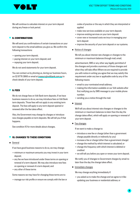

We will continue to calculate interest on your term deposit during any freeze or lock period.

# **▼ 8. CONFIRMATIONS**

We will send you confirmations of certain transactions on your term deposit to the email address you give us. We confirm the following transactions:

- opening your term deposit;
- paying interest on your term deposit; and
- repaying your term deposit.

We do not send statements for your term deposit.

You can contact us by phoning us, during our business hours, on 02 8776 3866 or email at treasury@voltbank.com.au to check details of your term deposit.

# **▼ 9. FEES**

We do not charge fees on Volt Bank term deposits. If we have business reasons to do so, we may introduce fees on Volt Bank term deposits. Those fees will not apply to any existing term deposit. The fees will apply to any term deposit opened or renewed after the fee takes effect.

Also, the Government may change its charges or introduce new charges payable on term deposits. We will tell you if that happens.

See condition 10 for more details about changes.

# **10. CHANGES TO THESE CONDITIONS**

■ General

If we have good business reasons to do so, we may change:

- minimum or maximum amounts you may invest in your term deposit;
- any fee we have introduced under these terms on opening or renewal of a term deposit. We may also introduce new fees on opening or renewal of a term deposit; and
- any other of these terms

Some reasons we may have for changing these terms are to:

• manage our risk profile or ensure we comply with the law or

codes of practice or the way in which they are interpreted or applied

- make new services available on your term deposit;
- improve existing services on your term deposit
- cover new or increased costs we incur in managing your term deposit
- improve the security of your term deposit or our systems.
- Notice of changes

We tell you about interest rate changes or changes to the minimum or maximum balances through mail, email,

advertisement, SMS or any other way legally permitted of the changes and provide a summary of those changes and when they will take effect Where we are required to provide you with notice in writing you agree that we may satisfy this requirement under any law or applicable code by any of the following means:

- email to your nominated email address;
- making the information available on our Volt website after first notifying you by SMS message to your mobile phone number;
- sending you a notice through the mail.
- Interest

We'll tell you about interest rate changes or changes to the minimum or maximum balances no later than the day the change takes effect, which will apply on opening or renewal of your term deposit.

■ Fee changes

If we want to make a change to:

- introduce a new fee or charge (other than a government charge payable directly or indirectly by you)
- increase a fee or charge (other than a government charge)
- change the method by which interest is calculated; or
- change the frequency with which interest is debited or credited
- we will tell you before you open or renew your term deposit.

We notify you of changes to Government charges by email no later than the day the change takes effect.

■ Immediate changes

We may change anything immediately if:

• you asked us to make the change and we agree to it like updating your business or residential address; or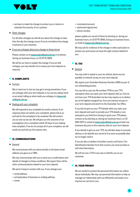

- we have to make the change to protect you or restore or maintain the security of our systems.
- Other changes

For all other changes we will tell you about the change no later than the day the change occurs if we do not believe the change is adverse to your interests.

■ If you are unhappy about any change to these terms

Please contact us at treasury@voltbank.com.au or by phone, during our business hours, on 02 8776 3866.

We will do our best to explain the change. If you are still unhappy, you may decide not to renew your term deposit on maturity.

# **▼ 11. COMPLAINTS**

■ Contact

We try hard not to, but we may get it wrong sometimes. If you are unhappy with your term deposit or our service, please send us an email, telling us what made you unhappy, to treasury@ voltbank.com.au.

■ Dealing with your complaint

We will respond to any complaint by email or phone. If our response does not satisfy your complaint, please tell us so and ask for the complaint to be reviewed. We will contact you as soon as we can. We will give you the outcome of our investigation into a complaint within 30 days of you making that complaint. If we do not accept all of your complaint, we will email you and tell you the reasons why.

# **12. COMMUNICATIONS**

**General** 

We communicate with you electronically to the latest email address you gave us or SMS.

We may communicate with you to send you a confirmation and details of changes to these conditions. We expect there will be other communications related to your term deposit.

We want to keep in contact with you. If you change your:

- email address;
- principal place of business or mailing address;
- name;
- nominated account;
- authorised signatories;
- phone number,

please update our record of them by phoning us, during our business hours, on 02 8776 3866, during our business hours, or email at treasury@voltbank.com.au.

We may ask for evidence of the change or other particulars to protect you and ensure we have the right contact details for you.

# **▼ 13. TAX**

■ General

You may wish to speak to your tax adviser about any tax payable on interest we pay on your term deposit.

We require your Australian Business Number (ABN) as part of our onboarding process.

You can tell us your tax file number (TFN) or your TFN exemption when you open your term deposit with us. If we do not have your TFN Australian tax law may require us to deduct tax at the highest marginal tax, from any interest we pay on your term deposit and send it to the Australian Tax Office.

If you did not give us your TFN details when you open your term deposit and want to provide your TFN details or any exemption you hold from having to quote your TFN please contact us by phoning us, during our business hours, on 02 8381 3973 or email at treasury@voltbank.com.au at least one business day prior to the maturity date for your term deposit.

If you decide to give us your TFN, we will take steps to securely destroy or de-identify any record of it as soon as possible after we no longer need it.

If you are also a resident of another country and have a Tax Identification Number from that country you must provide us with that information.

We will not use a TFN in any way to identify you as our customer.

# **▼ 14. YOUR PRIVACY**

We are careful to protect the personal information we collect about individuals. We may use personal information to help us manage our relationship with you efficiently and assist us to improve our service to you.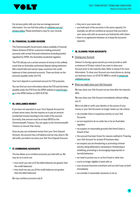

Our privacy policy tells you how we manage personal information. You can find that policy at voltbank.com.au/ privacy-policy. Please download a copy for your records.

# **▼ 15. FINANCIAL CLAIMS SCHEME**

The Commonwealth Government makes available a Financial Claims Scheme (FCS) for customers holding protected accounts with certain financial institutions (including banks) regulated by APRA, the Australian prudential regulator.

The FCS will pay out a certain amount of money in the unlikely event that an Australian authorised deposit taking institution (like a bank) fails and cannot repay customers the credit balances in their protected accounts. There are limits on the amounts payable under the FCS.

Your term deposit is a protected account for FCS purposes.

You can find out more information about the FCS and the limits payable under the FCS from the APRA website at www.fcs.gov. au or the APRA hotline on 1300 13 10 60.

# **▼ 16. UNCLAIMED MONEY**

If you have not operated on your Term Deposit Account for at least seven years, the law requires us to pay an amount (unclaimed money) standing to the credit of the account (currently, that amount must be at least \$500) to the Commonwealth Treasury. You can apply to the Commonwealth Treasury to recover that money.

Once we pay out unclaimed money from your Term Deposit Account, the account has a nil balance and we may close it. We will notify you before we close your Volt Term Deposit Account.

# **▼ 17. COMBINING ACCOUNTS**

The law allows us to combine accounts you hold with us. We may do so to work out:

- how much you owe us (if the debit balances are greater than the credit balances)
- how much we owe you (if the credit balances are greater than the debit balances)

We may combine accounts only if:

- they are in your name only
- you hold each of the accounts in the same capacity. For example, we will not combine an account that you hold in your name only with an account you hold jointly with others
- there is no agreement between us to keep the accounts separate.

# **▼ 18. CLOSING YOUR ACCOUNTS**

■ Closing your Account

Unless it is during a grace period you must provide us with a minimum of 31 days' notice if you want to close your Account prior to the maturity date. Refer to clause 5 for more information. To close your Account you must phone us, during our business hours, on 02 8776 3866 or email at treasury@ voltbank.com.au.

When we might close your Volt Accounts

We may close your Volt Account at any time after the maturity date.

We may close your Volt Account immediately without telling you, if:

We're not able to verify your identity or the source of your money or your Volt Accounts no longer meets our risk criteria

- we consider there is suspicious activity on your Volt **Accounts**
- we are required to do so under law or by an Australian regulator
- we suspect on reasonable grounds that there's been a breach of law
- the account has been frozen for reasons outlined in 'Freezing your Volt Account' for at least 10 business days.
- we suspect you are threatening or promoting criminal activity, being defamatory, harassing or threatening or exhibiting, promoting or encouraging inappropriate or harmful behaviour
- we need to protect you or us from fraud or other loss
- you're no longer eligible to bank with us
- your account becomes overdrawn and you don't pay us back immediately
- we consider it reasonably necessary to do so.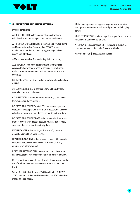

### **19. DEFINITIONS AND INTERPRETATION**

In these conditions:

ACCRUED INTEREST is the amount of interest we have calculated on your term deposit, but not yet paid to you.

ANTI-MONEY LAUNDERING law is the Anti-Money Laundering and Counter-terrorism Financing Act 2006 (Cth), any regulations under that Act and any regulatory guidelines issued about that Act.

APRA is the Australian Prudential Regulation Authority.

AUSTRACLEAR combines settlement and technological services to deliver a wide range of depository, registration, cash transfer and settlement services for debt instrument securities.

BUSINESS DAY is a weekday, excluding public or bank holidays, in NSW.

our BUSINESS HOURS are between 9am and 5pm, Sydney Australia time, on a business day.

CONFIRMATION is a confirmation we email to you about your term deposit under condition 9.

INTEREST ADJUSTMENT AMOUNT is the amount by which we reduce interest payable on your term deposit, because you asked us to repay your term deposit before its maturity date.

INTEREST ADJUSTMENT DATE is the date on which we adjust interest on your term deposit because you asked us to repay your term deposit before its maturity date.

MATURITY DATE is the last day of the term of your term deposit and must be a business day.

NOMINATED ACCOUNT is the transaction account into which you direct us to pay interest on your term deposit or any amount of your term deposit.

PERSONAL INFORMATION is information or an opinion about an individual and from which that individual can be identified.

RTGS is real time gross settlement, an electronic form of funds transfer where the transmission takes place on a real time basis.

WE or US or VOLT BANK means Volt Bank Limited ACN 622 375 722 Australian Financial Services Licence 504782 and our means belonging to us.

YOU means a person that applies to open a term deposit or that opens a term deposit with us and your means belonging to you.

YOUR TERM DEPOSIT is a term deposit we open for you at your request or under these conditions.

A PERSON includes, amongst other things, an individual, a company, an association and a Government body.

Any reference to "\$" is to Australian dollar